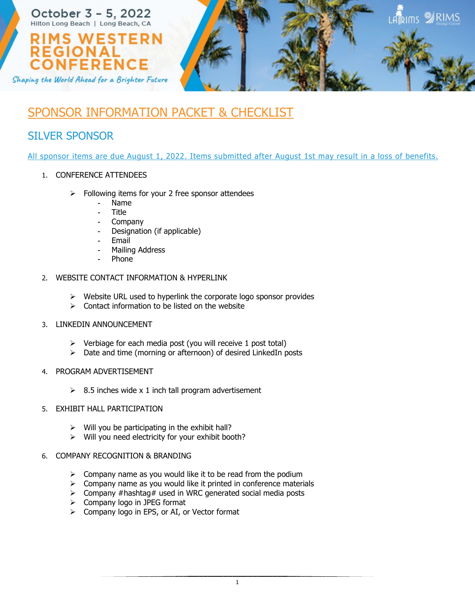

## SPONSOR INFORMATION PACKET & CHECKLIST

## SILVER SPONSOR

All sponsor items are due August 1, 2022. Items submitted after August 1st may result in a loss of benefits.

- 1. CONFERENCE ATTENDEES
	- $\triangleright$  Following items for your 2 free sponsor attendees
		- Name
		- **Title**
		- **Company**
		- Designation (if applicable)
		- Email
		- Mailing Address
		- **Phone**

## 2. WEBSITE CONTACT INFORMATION & HYPERLINK

- $\triangleright$  Website URL used to hyperlink the corporate logo sponsor provides
- $\triangleright$  Contact information to be listed on the website
- 3. LINKEDIN ANNOUNCEMENT
	- $\triangleright$  Verbiage for each media post (you will receive 1 post total)
	- $\triangleright$  Date and time (morning or afternoon) of desired LinkedIn posts
- 4. PROGRAM ADVERTISEMENT
	- $\geq$  8.5 inches wide x 1 inch tall program advertisement
- 5. EXHIBIT HALL PARTICIPATION
	- $\triangleright$  Will you be participating in the exhibit hall?
	- $\triangleright$  Will you need electricity for your exhibit booth?
- 6. COMPANY RECOGNITION & BRANDING
	- $\triangleright$  Company name as you would like it to be read from the podium
	- $\triangleright$  Company name as you would like it printed in conference materials
	- $\triangleright$  Company #hashtag# used in WRC generated social media posts
	- $\triangleright$  Company logo in JPEG format
	- Company logo in EPS, or AI, or Vector format